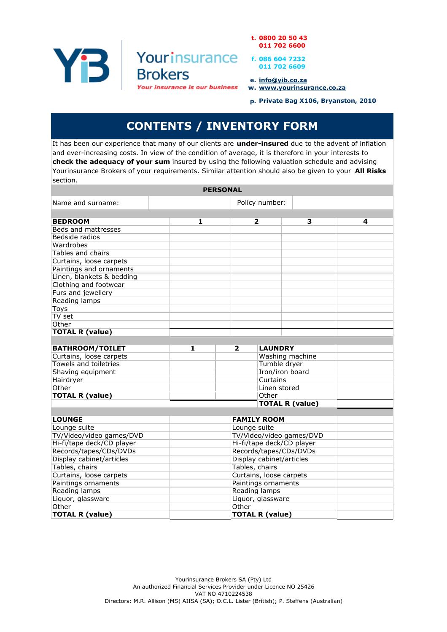YB I

t. 0800 20 50 43 011 702 6600

f. 086 604 7232 011 702 6609

e. info@yib.co.za

w. www.yourinsurance.co.za

p. Private Bag X106, Bryanston, 2010

## CONTENTS / INVENTORY FORM

Yourinsurance

**Your insurance is our business** 

**Brokers** 

It has been our experience that many of our clients are under-insured due to the advent of inflation and ever-increasing costs. In view of the condition of average, it is therefore in your interests to check the adequacy of your sum insured by using the following valuation schedule and advising Yourinsurance Brokers of your requirements. Similar attention should also be given to your All Risks section.

|                           | <b>PERSONAL</b> |                                           |                 |   |
|---------------------------|-----------------|-------------------------------------------|-----------------|---|
| Name and surname:         | Policy number:  |                                           |                 |   |
|                           |                 |                                           |                 |   |
| <b>BEDROOM</b>            | 1               | 2                                         | з               | 4 |
| Beds and mattresses       |                 |                                           |                 |   |
| Bedside radios            |                 |                                           |                 |   |
| Wardrobes                 |                 |                                           |                 |   |
| Tables and chairs         |                 |                                           |                 |   |
| Curtains, loose carpets   |                 |                                           |                 |   |
| Paintings and ornaments   |                 |                                           |                 |   |
| Linen, blankets & bedding |                 |                                           |                 |   |
| Clothing and footwear     |                 |                                           |                 |   |
| Furs and jewellery        |                 |                                           |                 |   |
| Reading lamps             |                 |                                           |                 |   |
| Toys                      |                 |                                           |                 |   |
| TV set                    |                 |                                           |                 |   |
| Other                     |                 |                                           |                 |   |
| <b>TOTAL R (value)</b>    |                 |                                           |                 |   |
|                           |                 |                                           |                 |   |
| <b>BATHROOM/TOILET</b>    | 1               | $\overline{\mathbf{2}}$<br><b>LAUNDRY</b> |                 |   |
| Curtains, loose carpets   |                 |                                           | Washing machine |   |
| Towels and toiletries     |                 | Tumble dryer                              |                 |   |
| Shaving equipment         |                 |                                           | Iron/iron board |   |
| Hairdryer                 |                 | Curtains                                  |                 |   |
| Other                     |                 | Linen stored                              |                 |   |
| <b>TOTAL R (value)</b>    |                 | Other                                     |                 |   |
|                           |                 | <b>TOTAL R (value)</b>                    |                 |   |
|                           |                 |                                           |                 |   |
| <b>LOUNGE</b>             |                 | <b>FAMILY ROOM</b>                        |                 |   |
| Lounge suite              |                 | Lounge suite                              |                 |   |
| TV/Video/video games/DVD  |                 | TV/Video/video games/DVD                  |                 |   |
| Hi-fi/tape deck/CD player |                 | Hi-fi/tape deck/CD player                 |                 |   |
| Records/tapes/CDs/DVDs    |                 | Records/tapes/CDs/DVDs                    |                 |   |
| Display cabinet/articles  |                 | Display cabinet/articles                  |                 |   |
| Tables, chairs            |                 | Tables, chairs                            |                 |   |
| Curtains, loose carpets   |                 | Curtains, loose carpets                   |                 |   |
| Paintings ornaments       |                 | Paintings ornaments                       |                 |   |
| Reading lamps             |                 | Reading lamps                             |                 |   |
| Liquor, glassware         |                 | Liquor, glassware                         |                 |   |
| Other                     |                 | Other                                     |                 |   |
| <b>TOTAL R (value)</b>    |                 | <b>TOTAL R (value)</b>                    |                 |   |